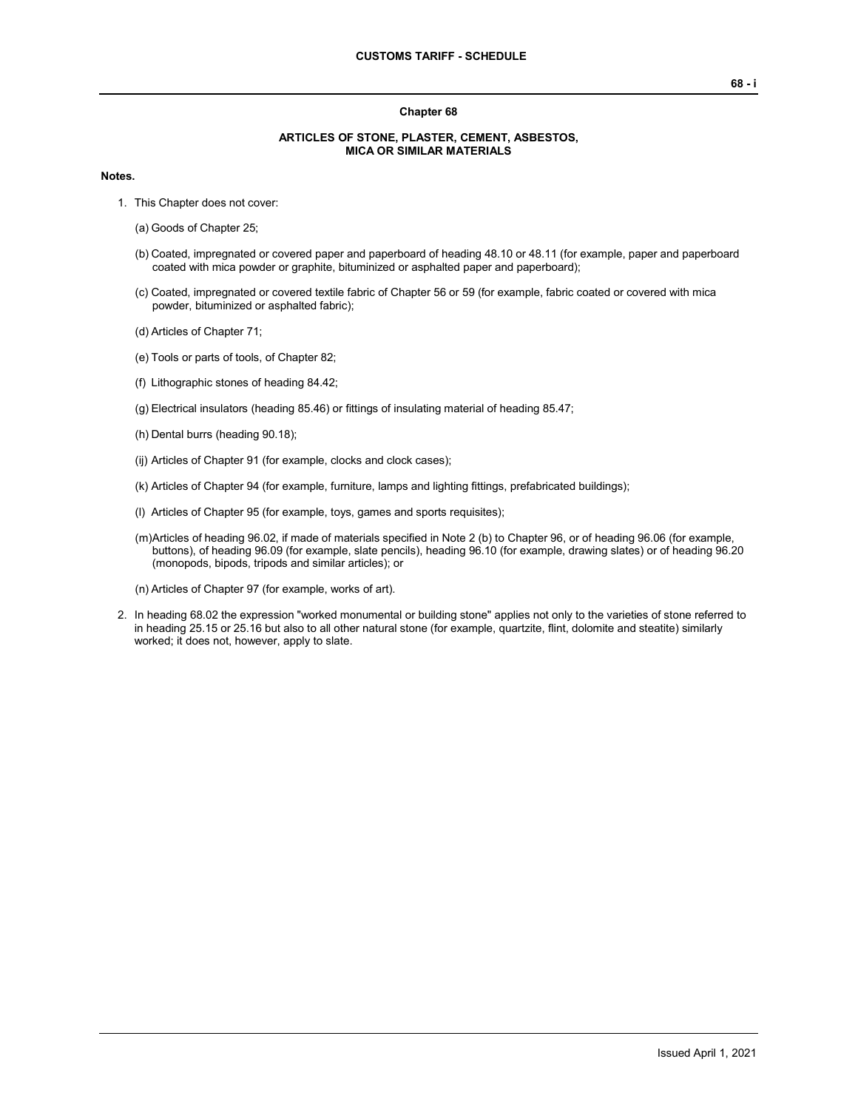## **Chapter 68**

## **ARTICLES OF STONE, PLASTER, CEMENT, ASBESTOS, MICA OR SIMILAR MATERIALS**

## **Notes.**

- 1. This Chapter does not cover:
	- (a) Goods of Chapter 25;
	- (b) Coated, impregnated or covered paper and paperboard of heading 48.10 or 48.11 (for example, paper and paperboard coated with mica powder or graphite, bituminized or asphalted paper and paperboard);
	- (c) Coated, impregnated or covered textile fabric of Chapter 56 or 59 (for example, fabric coated or covered with mica powder, bituminized or asphalted fabric);
	- (d) Articles of Chapter 71;
	- (e) Tools or parts of tools, of Chapter 82;
	- (f) Lithographic stones of heading 84.42;
	- (g) Electrical insulators (heading 85.46) or fittings of insulating material of heading 85.47;
	- (h) Dental burrs (heading 90.18);
	- (ij) Articles of Chapter 91 (for example, clocks and clock cases);
	- (k) Articles of Chapter 94 (for example, furniture, lamps and lighting fittings, prefabricated buildings);
	- (l) Articles of Chapter 95 (for example, toys, games and sports requisites);
	- (m)Articles of heading 96.02, if made of materials specified in Note 2 (b) to Chapter 96, or of heading 96.06 (for example, buttons), of heading 96.09 (for example, slate pencils), heading 96.10 (for example, drawing slates) or of heading 96.20 (monopods, bipods, tripods and similar articles); or
	- (n) Articles of Chapter 97 (for example, works of art).
- 2. In heading 68.02 the expression "worked monumental or building stone" applies not only to the varieties of stone referred to in heading 25.15 or 25.16 but also to all other natural stone (for example, quartzite, flint, dolomite and steatite) similarly worked; it does not, however, apply to slate.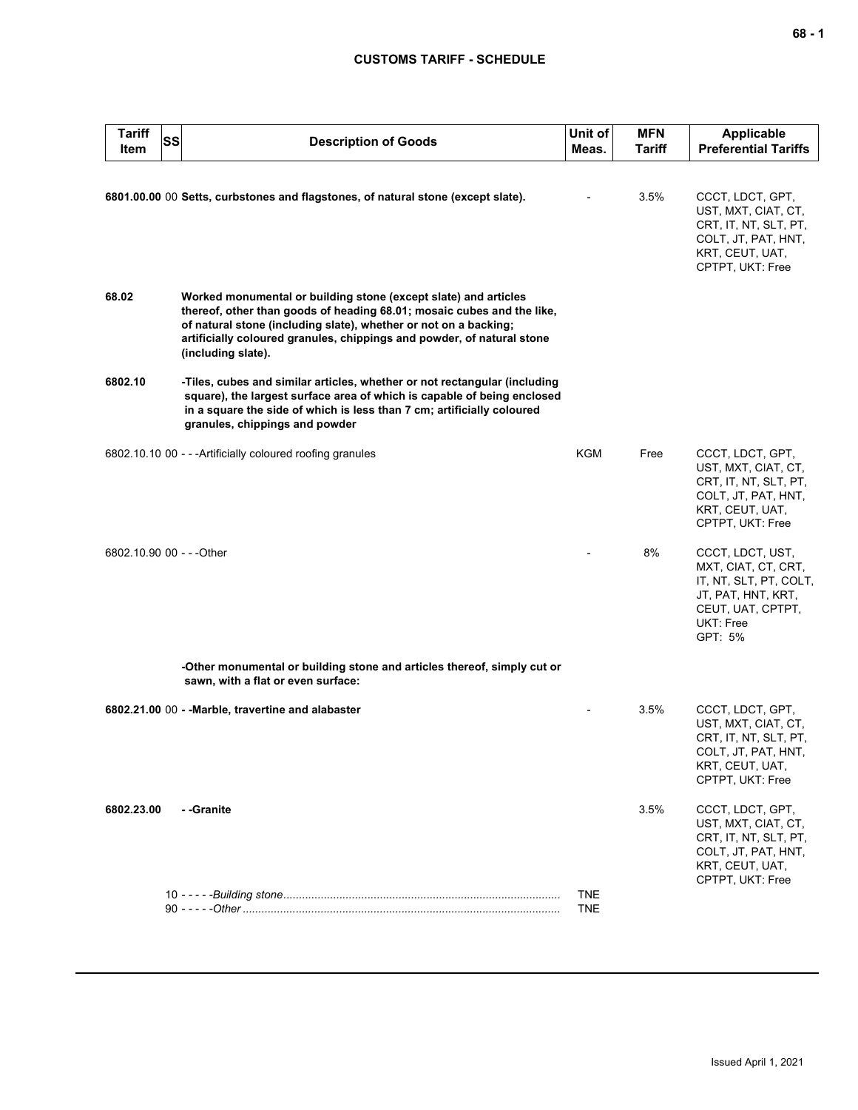## **CUSTOMS TARIFF - SCHEDULE**

| <b>Tariff</b><br>Item     | SS | <b>Description of Goods</b>                                                                                                                                                                                                                                                                                   | Unit of<br>Meas.         | <b>MFN</b><br><b>Tariff</b> | <b>Applicable</b><br><b>Preferential Tariffs</b>                                                                                     |
|---------------------------|----|---------------------------------------------------------------------------------------------------------------------------------------------------------------------------------------------------------------------------------------------------------------------------------------------------------------|--------------------------|-----------------------------|--------------------------------------------------------------------------------------------------------------------------------------|
|                           |    | 6801.00.00 00 Setts, curbstones and flagstones, of natural stone (except slate).                                                                                                                                                                                                                              |                          | 3.5%                        | CCCT, LDCT, GPT,<br>UST, MXT, CIAT, CT,<br>CRT, IT, NT, SLT, PT,<br>COLT, JT, PAT, HNT,<br>KRT, CEUT, UAT,<br>CPTPT, UKT: Free       |
| 68.02                     |    | Worked monumental or building stone (except slate) and articles<br>thereof, other than goods of heading 68.01; mosaic cubes and the like,<br>of natural stone (including slate), whether or not on a backing;<br>artificially coloured granules, chippings and powder, of natural stone<br>(including slate). |                          |                             |                                                                                                                                      |
| 6802.10                   |    | -Tiles, cubes and similar articles, whether or not rectangular (including<br>square), the largest surface area of which is capable of being enclosed<br>in a square the side of which is less than 7 cm; artificially coloured<br>granules, chippings and powder                                              |                          |                             |                                                                                                                                      |
|                           |    | 6802.10.10 00 - - - Artificially coloured roofing granules                                                                                                                                                                                                                                                    | KGM                      | Free                        | CCCT, LDCT, GPT,<br>UST, MXT, CIAT, CT,<br>CRT, IT, NT, SLT, PT,<br>COLT, JT, PAT, HNT,<br>KRT, CEUT, UAT,<br>CPTPT, UKT: Free       |
| 6802.10.90 00 - - - Other |    |                                                                                                                                                                                                                                                                                                               |                          | 8%                          | CCCT, LDCT, UST,<br>MXT, CIAT, CT, CRT,<br>IT, NT, SLT, PT, COLT,<br>JT, PAT, HNT, KRT,<br>CEUT, UAT, CPTPT,<br>UKT: Free<br>GPT: 5% |
|                           |    | -Other monumental or building stone and articles thereof, simply cut or<br>sawn, with a flat or even surface:                                                                                                                                                                                                 |                          |                             |                                                                                                                                      |
|                           |    | 6802.21.00 00 - - Marble, travertine and alabaster                                                                                                                                                                                                                                                            |                          | 3.5%                        | CCCT, LDCT, GPT,<br>UST, MXT, CIAT, CT,<br>CRT, IT, NT, SLT, PT,<br>COLT, JT, PAT, HNT,<br>KRT, CEUT, UAT,<br>CPTPT, UKT: Free       |
| 6802.23.00                |    | - -Granite                                                                                                                                                                                                                                                                                                    |                          | 3.5%                        | CCCT, LDCT, GPT,<br>UST, MXT, CIAT, CT,<br>CRT, IT, NT, SLT, PT,<br>COLT, JT, PAT, HNT,<br>KRT, CEUT, UAT,<br>CPTPT, UKT: Free       |
|                           |    |                                                                                                                                                                                                                                                                                                               | <b>TNE</b><br><b>TNE</b> |                             |                                                                                                                                      |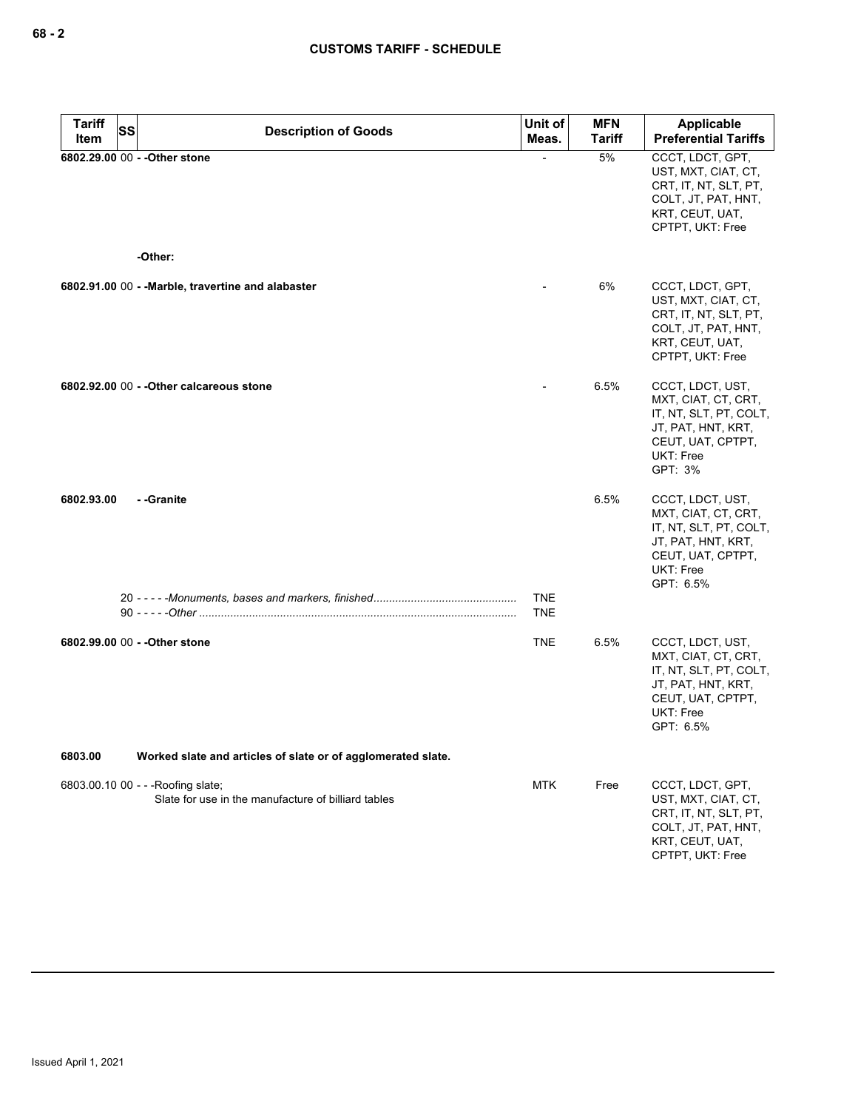| Tariff     | SS | <b>Description of Goods</b>                                                               | Unit of<br>Meas.         | <b>MFN</b><br><b>Tariff</b> | <b>Applicable</b><br><b>Preferential Tariffs</b>                                                                                       |
|------------|----|-------------------------------------------------------------------------------------------|--------------------------|-----------------------------|----------------------------------------------------------------------------------------------------------------------------------------|
| Item       |    | 6802.29.00 00 - - Other stone                                                             |                          | 5%                          | CCCT, LDCT, GPT,                                                                                                                       |
|            |    |                                                                                           |                          |                             | UST, MXT, CIAT, CT,<br>CRT, IT, NT, SLT, PT,<br>COLT, JT, PAT, HNT,<br>KRT, CEUT, UAT,<br>CPTPT, UKT: Free                             |
|            |    | -Other:                                                                                   |                          |                             |                                                                                                                                        |
|            |    | 6802.91.00 00 - - Marble, travertine and alabaster                                        |                          | 6%                          | CCCT, LDCT, GPT,<br>UST, MXT, CIAT, CT,<br>CRT, IT, NT, SLT, PT,<br>COLT, JT, PAT, HNT,<br>KRT, CEUT, UAT,<br>CPTPT, UKT: Free         |
|            |    | 6802.92.00 00 - - Other calcareous stone                                                  |                          | 6.5%                        | CCCT, LDCT, UST,<br>MXT, CIAT, CT, CRT,<br>IT, NT, SLT, PT, COLT,<br>JT, PAT, HNT, KRT,<br>CEUT, UAT, CPTPT,<br>UKT: Free<br>GPT: 3%   |
| 6802.93.00 |    | --Granite                                                                                 |                          | 6.5%                        | CCCT, LDCT, UST,<br>MXT, CIAT, CT, CRT,<br>IT, NT, SLT, PT, COLT,<br>JT, PAT, HNT, KRT,<br>CEUT, UAT, CPTPT,<br>UKT: Free<br>GPT: 6.5% |
|            |    |                                                                                           | <b>TNE</b><br><b>TNE</b> |                             |                                                                                                                                        |
|            |    | 6802.99.00 00 - - Other stone                                                             | <b>TNE</b>               | 6.5%                        | CCCT, LDCT, UST,<br>MXT, CIAT, CT, CRT,<br>IT, NT, SLT, PT, COLT,<br>JT, PAT, HNT, KRT,<br>CEUT, UAT, CPTPT,<br>UKT: Free<br>GPT: 6.5% |
| 6803.00    |    | Worked slate and articles of slate or of agglomerated slate.                              |                          |                             |                                                                                                                                        |
|            |    | 6803.00.10 00 - - - Roofing slate;<br>Slate for use in the manufacture of billiard tables | <b>MTK</b>               | Free                        | CCCT, LDCT, GPT,<br>UST, MXT, CIAT, CT,<br>CRT, IT, NT, SLT, PT,<br>COLT, JT, PAT, HNT,<br>KRT, CEUT, UAT,<br>CPTPT, UKT: Free         |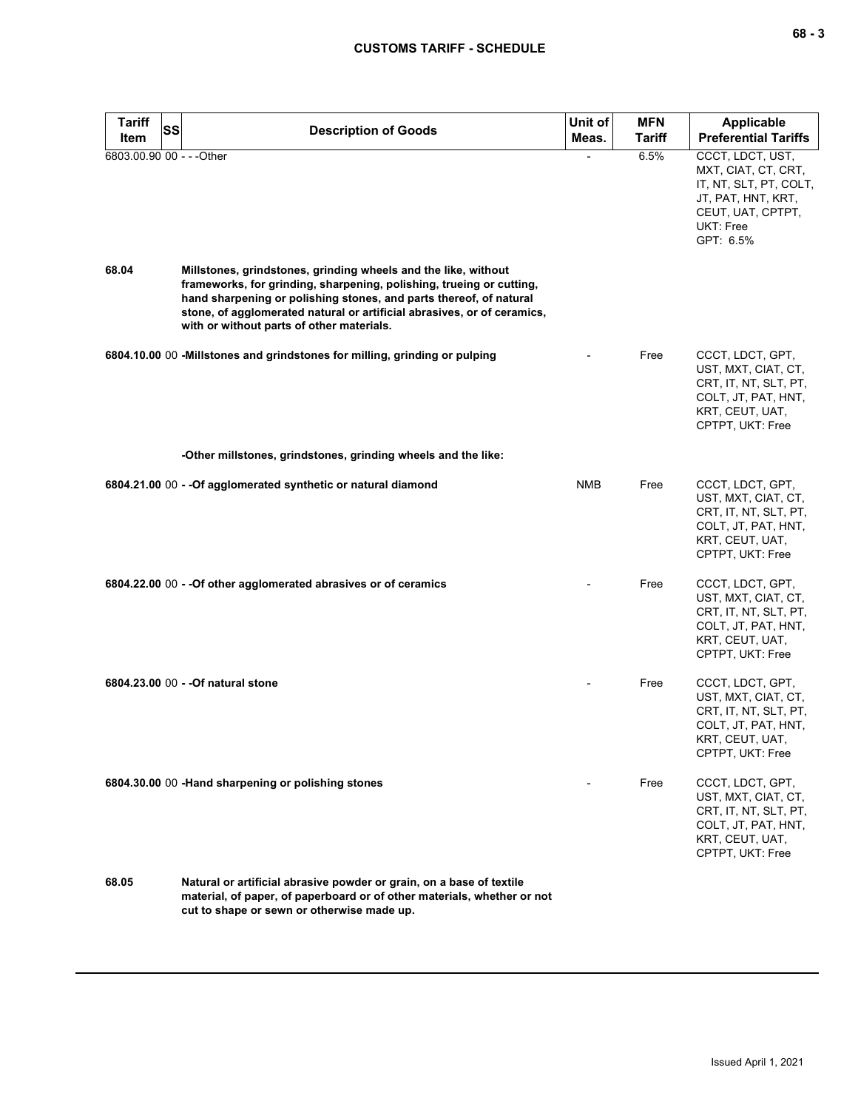| <b>Tariff</b><br><b>SS</b><br>Item | <b>Description of Goods</b>                                                                                                                                                                                                                                                                                                          | Unit of<br>Meas. | <b>MFN</b><br><b>Tariff</b> | Applicable<br><b>Preferential Tariffs</b>                                                                                              |
|------------------------------------|--------------------------------------------------------------------------------------------------------------------------------------------------------------------------------------------------------------------------------------------------------------------------------------------------------------------------------------|------------------|-----------------------------|----------------------------------------------------------------------------------------------------------------------------------------|
| 6803.00.90 00 - - - Other          |                                                                                                                                                                                                                                                                                                                                      |                  | 6.5%                        | CCCT, LDCT, UST,<br>MXT, CIAT, CT, CRT,<br>IT, NT, SLT, PT, COLT,<br>JT, PAT, HNT, KRT,<br>CEUT, UAT, CPTPT,<br>UKT: Free<br>GPT: 6.5% |
| 68.04                              | Millstones, grindstones, grinding wheels and the like, without<br>frameworks, for grinding, sharpening, polishing, trueing or cutting,<br>hand sharpening or polishing stones, and parts thereof, of natural<br>stone, of agglomerated natural or artificial abrasives, or of ceramics,<br>with or without parts of other materials. |                  |                             |                                                                                                                                        |
|                                    | 6804.10.00 00 - Millstones and grindstones for milling, grinding or pulping                                                                                                                                                                                                                                                          |                  | Free                        | CCCT, LDCT, GPT,<br>UST, MXT, CIAT, CT,<br>CRT, IT, NT, SLT, PT,<br>COLT, JT, PAT, HNT,<br>KRT, CEUT, UAT,<br>CPTPT, UKT: Free         |
|                                    | -Other millstones, grindstones, grinding wheels and the like:                                                                                                                                                                                                                                                                        |                  |                             |                                                                                                                                        |
|                                    | 6804.21.00 00 - - Of agglomerated synthetic or natural diamond                                                                                                                                                                                                                                                                       | <b>NMB</b>       | Free                        | CCCT, LDCT, GPT,<br>UST, MXT, CIAT, CT,<br>CRT, IT, NT, SLT, PT,<br>COLT, JT, PAT, HNT,<br>KRT, CEUT, UAT,<br>CPTPT, UKT: Free         |
|                                    | 6804.22.00 00 - - Of other agglomerated abrasives or of ceramics                                                                                                                                                                                                                                                                     |                  | Free                        | CCCT, LDCT, GPT,<br>UST, MXT, CIAT, CT,<br>CRT, IT, NT, SLT, PT,<br>COLT, JT, PAT, HNT,<br>KRT, CEUT, UAT,<br>CPTPT, UKT: Free         |
|                                    | 6804.23.00 00 - - Of natural stone                                                                                                                                                                                                                                                                                                   |                  | Free                        | CCCT, LDCT, GPT,<br>UST, MXT, CIAT, CT,<br>CRT, IT, NT, SLT, PT,<br>COLT, JT, PAT, HNT,<br>KRT, CEUT, UAT,<br>CPTPT, UKT: Free         |
|                                    | 6804.30.00 00 - Hand sharpening or polishing stones                                                                                                                                                                                                                                                                                  |                  | Free                        | CCCT, LDCT, GPT,<br>UST, MXT, CIAT, CT,<br>CRT, IT, NT, SLT, PT,<br>COLT, JT, PAT, HNT,<br>KRT, CEUT, UAT,<br>CPTPT, UKT: Free         |
| 68.05                              | Natural or artificial abrasive powder or grain, on a base of textile<br>material, of paper, of paperboard or of other materials, whether or not<br>cut to shape or sewn or otherwise made up.                                                                                                                                        |                  |                             |                                                                                                                                        |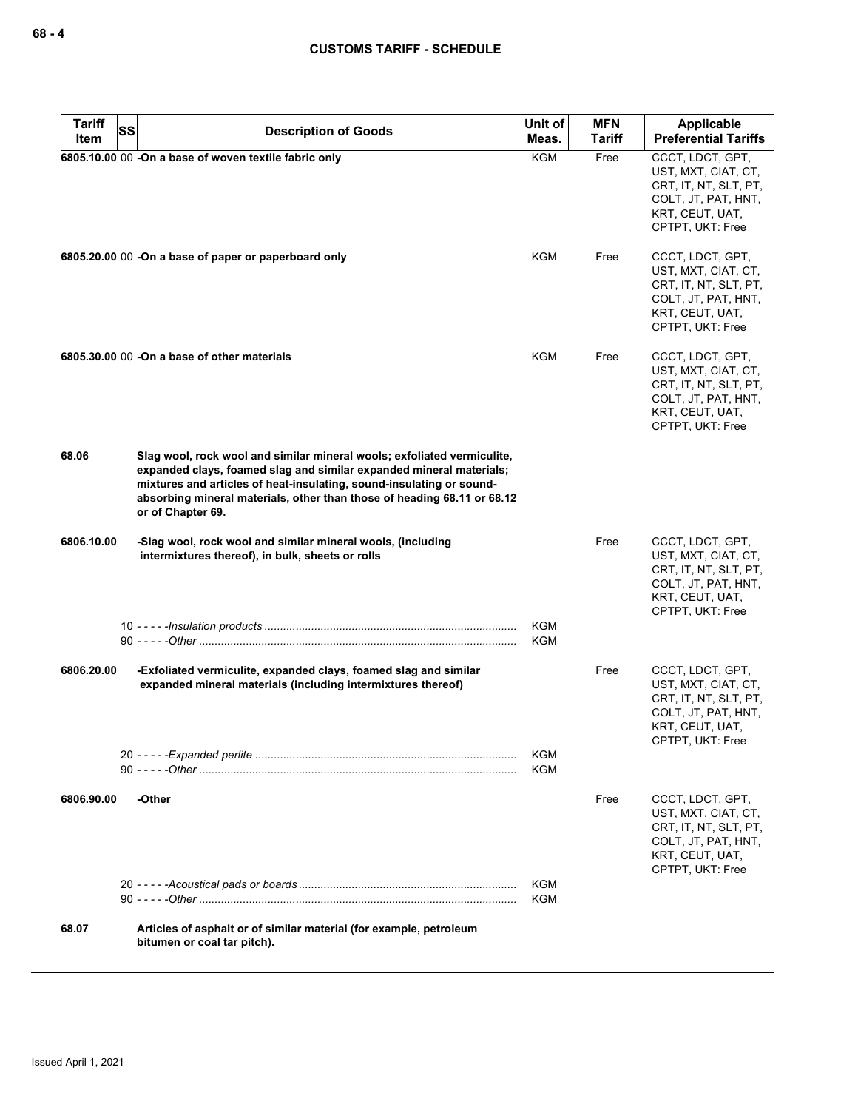| <b>Tariff</b> | SS | <b>Description of Goods</b>                                                                                                                                                                                                                                                                                            | Unit of<br>Meas.         | <b>MFN</b><br><b>Tariff</b> | Applicable<br><b>Preferential Tariffs</b>                                                                                      |
|---------------|----|------------------------------------------------------------------------------------------------------------------------------------------------------------------------------------------------------------------------------------------------------------------------------------------------------------------------|--------------------------|-----------------------------|--------------------------------------------------------------------------------------------------------------------------------|
| Item          |    | 6805.10.00 00 -On a base of woven textile fabric only                                                                                                                                                                                                                                                                  | <b>KGM</b>               | Free                        | CCCT, LDCT, GPT,                                                                                                               |
|               |    |                                                                                                                                                                                                                                                                                                                        |                          |                             | UST, MXT, CIAT, CT,<br>CRT, IT, NT, SLT, PT,<br>COLT, JT, PAT, HNT,<br>KRT, CEUT, UAT,<br>CPTPT, UKT: Free                     |
|               |    | 6805.20.00 00 -On a base of paper or paperboard only                                                                                                                                                                                                                                                                   | <b>KGM</b>               | Free                        | CCCT, LDCT, GPT,<br>UST, MXT, CIAT, CT,<br>CRT, IT, NT, SLT, PT,<br>COLT, JT, PAT, HNT,<br>KRT, CEUT, UAT,<br>CPTPT, UKT: Free |
|               |    | 6805.30.00 00 -On a base of other materials                                                                                                                                                                                                                                                                            | <b>KGM</b>               | Free                        | CCCT, LDCT, GPT,<br>UST, MXT, CIAT, CT,<br>CRT, IT, NT, SLT, PT,<br>COLT, JT, PAT, HNT,<br>KRT, CEUT, UAT,<br>CPTPT, UKT: Free |
| 68.06         |    | Slag wool, rock wool and similar mineral wools; exfoliated vermiculite,<br>expanded clays, foamed slag and similar expanded mineral materials;<br>mixtures and articles of heat-insulating, sound-insulating or sound-<br>absorbing mineral materials, other than those of heading 68.11 or 68.12<br>or of Chapter 69. |                          |                             |                                                                                                                                |
| 6806.10.00    |    | -Slag wool, rock wool and similar mineral wools, (including<br>intermixtures thereof), in bulk, sheets or rolls                                                                                                                                                                                                        |                          | Free                        | CCCT, LDCT, GPT,<br>UST, MXT, CIAT, CT,<br>CRT, IT, NT, SLT, PT,<br>COLT, JT, PAT, HNT,<br>KRT, CEUT, UAT,<br>CPTPT, UKT: Free |
|               |    |                                                                                                                                                                                                                                                                                                                        | <b>KGM</b><br><b>KGM</b> |                             |                                                                                                                                |
| 6806.20.00    |    | -Exfoliated vermiculite, expanded clays, foamed slag and similar<br>expanded mineral materials (including intermixtures thereof)                                                                                                                                                                                       |                          | Free                        | CCCT, LDCT, GPT,<br>UST, MXT, CIAT, CT,<br>CRT, IT, NT, SLT, PT,<br>COLT, JT, PAT, HNT,<br>KRT, CEUT, UAT,<br>CPTPT, UKT: Free |
|               |    |                                                                                                                                                                                                                                                                                                                        | <b>KGM</b><br><b>KGM</b> |                             |                                                                                                                                |
|               |    |                                                                                                                                                                                                                                                                                                                        |                          |                             |                                                                                                                                |
| 6806.90.00    |    | -Other                                                                                                                                                                                                                                                                                                                 |                          | Free                        | CCCT, LDCT, GPT,<br>UST, MXT, CIAT, CT,<br>CRT, IT, NT, SLT, PT,<br>COLT, JT, PAT, HNT,<br>KRT, CEUT, UAT,<br>CPTPT, UKT: Free |
|               |    |                                                                                                                                                                                                                                                                                                                        | <b>KGM</b><br><b>KGM</b> |                             |                                                                                                                                |
| 68.07         |    | Articles of asphalt or of similar material (for example, petroleum<br>bitumen or coal tar pitch).                                                                                                                                                                                                                      |                          |                             |                                                                                                                                |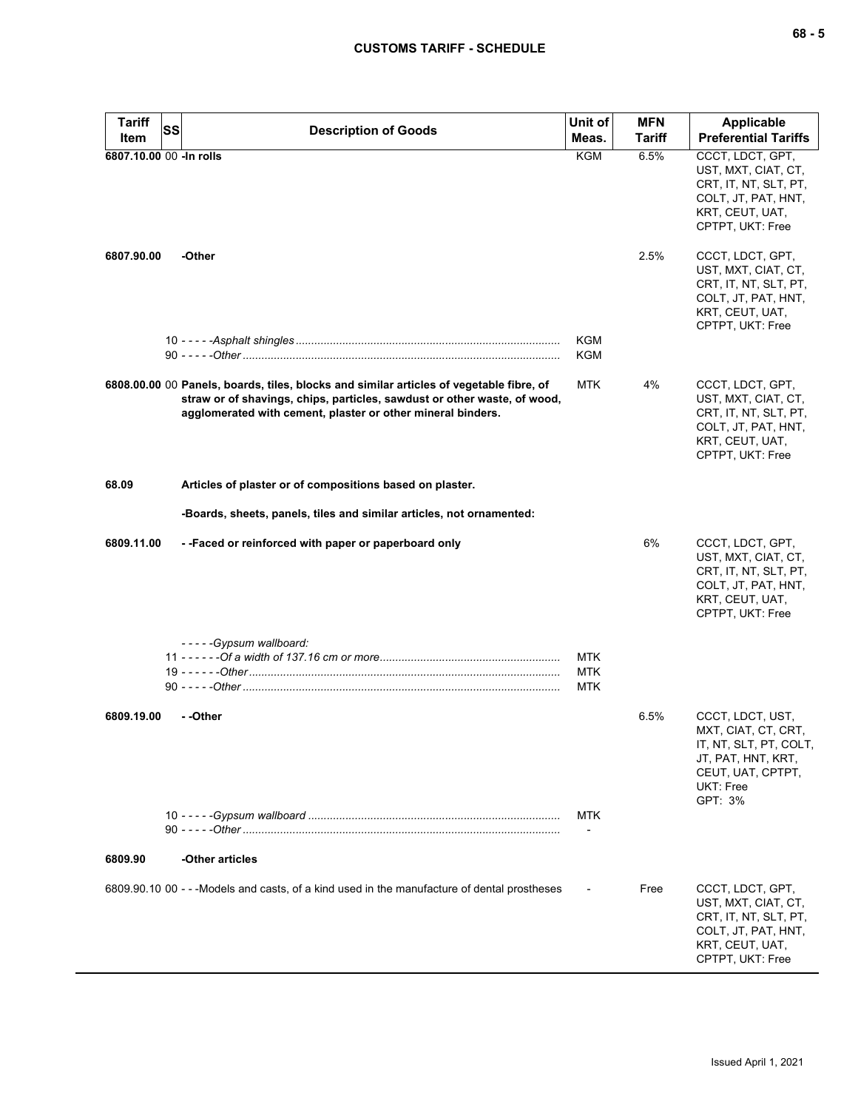| <b>Tariff</b><br>Item    | <b>SS</b> | <b>Description of Goods</b>                                                                                                                                                                                                        | Unit of<br>Meas.                | <b>MFN</b><br><b>Tariff</b> | <b>Applicable</b><br><b>Preferential Tariffs</b>                                                                                     |
|--------------------------|-----------|------------------------------------------------------------------------------------------------------------------------------------------------------------------------------------------------------------------------------------|---------------------------------|-----------------------------|--------------------------------------------------------------------------------------------------------------------------------------|
| 6807.10.00 00 - In rolls |           |                                                                                                                                                                                                                                    | <b>KGM</b>                      | 6.5%                        | CCCT, LDCT, GPT,<br>UST, MXT, CIAT, CT,<br>CRT, IT, NT, SLT, PT,<br>COLT, JT, PAT, HNT,<br>KRT, CEUT, UAT,<br>CPTPT, UKT: Free       |
| 6807.90.00               |           | -Other                                                                                                                                                                                                                             | <b>KGM</b>                      | 2.5%                        | CCCT, LDCT, GPT,<br>UST, MXT, CIAT, CT,<br>CRT, IT, NT, SLT, PT,<br>COLT, JT, PAT, HNT,<br>KRT, CEUT, UAT,<br>CPTPT, UKT: Free       |
|                          |           |                                                                                                                                                                                                                                    | KGM                             |                             |                                                                                                                                      |
|                          |           | 6808.00.00 00 Panels, boards, tiles, blocks and similar articles of vegetable fibre, of<br>straw or of shavings, chips, particles, sawdust or other waste, of wood,<br>agglomerated with cement, plaster or other mineral binders. | <b>MTK</b>                      | 4%                          | CCCT, LDCT, GPT,<br>UST, MXT, CIAT, CT,<br>CRT, IT, NT, SLT, PT,<br>COLT, JT, PAT, HNT,<br>KRT, CEUT, UAT,<br>CPTPT, UKT: Free       |
| 68.09                    |           | Articles of plaster or of compositions based on plaster.                                                                                                                                                                           |                                 |                             |                                                                                                                                      |
|                          |           | -Boards, sheets, panels, tiles and similar articles, not ornamented:                                                                                                                                                               |                                 |                             |                                                                                                                                      |
| 6809.11.00               |           | - - Faced or reinforced with paper or paperboard only                                                                                                                                                                              |                                 | 6%                          | CCCT, LDCT, GPT,<br>UST, MXT, CIAT, CT,<br>CRT, IT, NT, SLT, PT,<br>COLT, JT, PAT, HNT,<br>KRT, CEUT, UAT,<br>CPTPT, UKT: Free       |
|                          |           | -----Gypsum wallboard:                                                                                                                                                                                                             |                                 |                             |                                                                                                                                      |
|                          |           |                                                                                                                                                                                                                                    | <b>MTK</b><br>MTK<br><b>MTK</b> |                             |                                                                                                                                      |
| 6809.19.00               |           | - -Other                                                                                                                                                                                                                           |                                 | 6.5%                        | CCCT, LDCT, UST,<br>MXT, CIAT, CT, CRT,<br>IT, NT, SLT, PT, COLT,<br>JT, PAT, HNT, KRT,<br>CEUT, UAT, CPTPT,<br>UKT: Free<br>GPT: 3% |
|                          |           |                                                                                                                                                                                                                                    | MTK                             |                             |                                                                                                                                      |
| 6809.90                  |           | -Other articles                                                                                                                                                                                                                    |                                 |                             |                                                                                                                                      |
|                          |           | 6809.90.10 00 - - - Models and casts, of a kind used in the manufacture of dental prostheses                                                                                                                                       |                                 | Free                        | CCCT, LDCT, GPT,<br>UST, MXT, CIAT, CT,<br>CRT, IT, NT, SLT, PT,<br>COLT, JT, PAT, HNT,<br>KRT, CEUT, UAT,<br>CPTPT, UKT: Free       |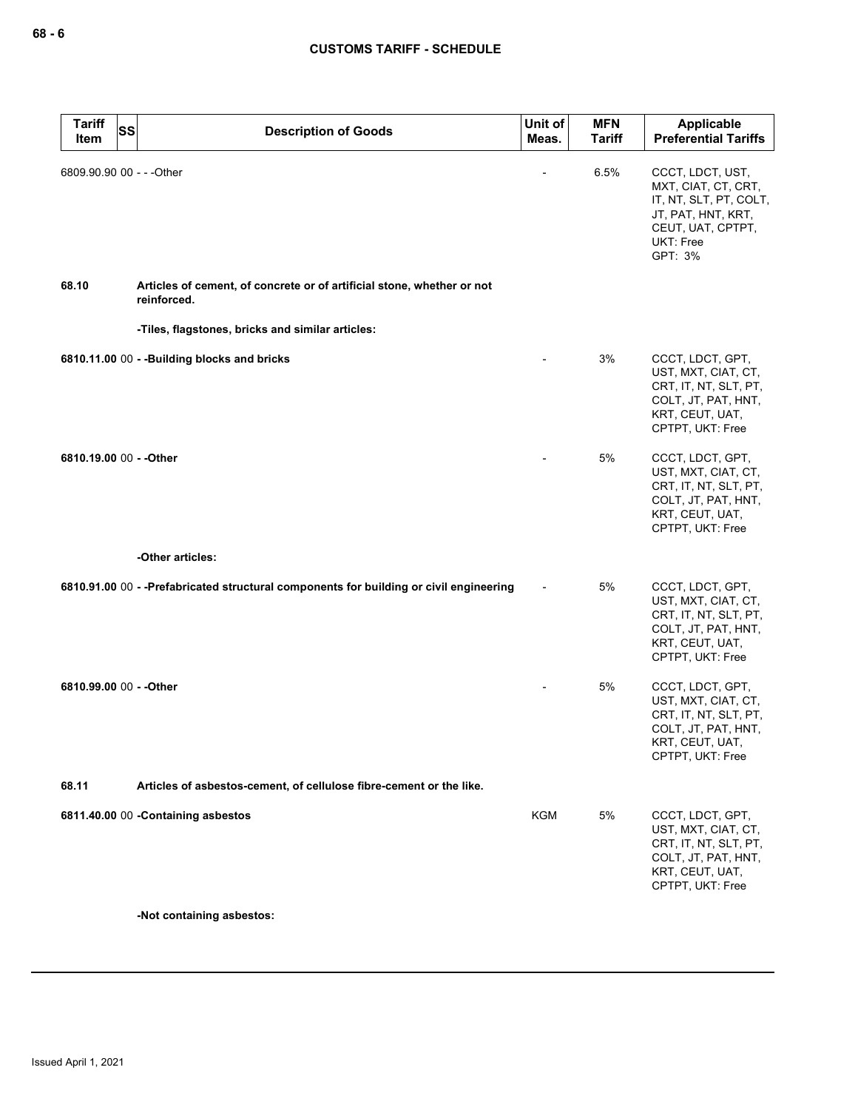| <b>Tariff</b><br><b>SS</b><br>Item | <b>Description of Goods</b>                                                             | Unit of<br>Meas. | <b>MFN</b><br><b>Tariff</b> | Applicable<br><b>Preferential Tariffs</b>                                                                                            |
|------------------------------------|-----------------------------------------------------------------------------------------|------------------|-----------------------------|--------------------------------------------------------------------------------------------------------------------------------------|
| 6809.90.90 00 - - - Other          |                                                                                         |                  | 6.5%                        | CCCT, LDCT, UST,<br>MXT, CIAT, CT, CRT,<br>IT, NT, SLT, PT, COLT,<br>JT, PAT, HNT, KRT,<br>CEUT, UAT, CPTPT,<br>UKT: Free<br>GPT: 3% |
| 68.10                              | Articles of cement, of concrete or of artificial stone, whether or not<br>reinforced.   |                  |                             |                                                                                                                                      |
|                                    | -Tiles, flagstones, bricks and similar articles:                                        |                  |                             |                                                                                                                                      |
|                                    | 6810.11.00 00 - - Building blocks and bricks                                            |                  | 3%                          | CCCT, LDCT, GPT,<br>UST, MXT, CIAT, CT,<br>CRT, IT, NT, SLT, PT,<br>COLT, JT, PAT, HNT,<br>KRT, CEUT, UAT,<br>CPTPT, UKT: Free       |
| 6810.19.00 00 - - Other            |                                                                                         |                  | 5%                          | CCCT, LDCT, GPT,<br>UST, MXT, CIAT, CT,<br>CRT, IT, NT, SLT, PT,<br>COLT, JT, PAT, HNT,<br>KRT, CEUT, UAT,<br>CPTPT, UKT: Free       |
|                                    | -Other articles:                                                                        |                  |                             |                                                                                                                                      |
|                                    | 6810.91.00 00 - - Prefabricated structural components for building or civil engineering |                  | 5%                          | CCCT, LDCT, GPT,<br>UST, MXT, CIAT, CT,<br>CRT, IT, NT, SLT, PT,<br>COLT, JT, PAT, HNT,<br>KRT, CEUT, UAT,<br>CPTPT, UKT: Free       |
| 6810.99.00 00 - - Other            |                                                                                         |                  | 5%                          | CCCT, LDCT, GPT,<br>UST, MXT, CIAT, CT,<br>CRT, IT, NT, SLT, PT,<br>COLT, JT, PAT, HNT,<br>KRT, CEUT, UAT,<br>CPTPT, UKT: Free       |
| 68.11                              | Articles of asbestos-cement, of cellulose fibre-cement or the like.                     |                  |                             |                                                                                                                                      |
|                                    | 6811.40.00 00 - Containing asbestos                                                     | <b>KGM</b>       | 5%                          | CCCT, LDCT, GPT,<br>UST, MXT, CIAT, CT,<br>CRT, IT, NT, SLT, PT,<br>COLT, JT, PAT, HNT,<br>KRT, CEUT, UAT,<br>CPTPT, UKT: Free       |

**-Not containing asbestos:**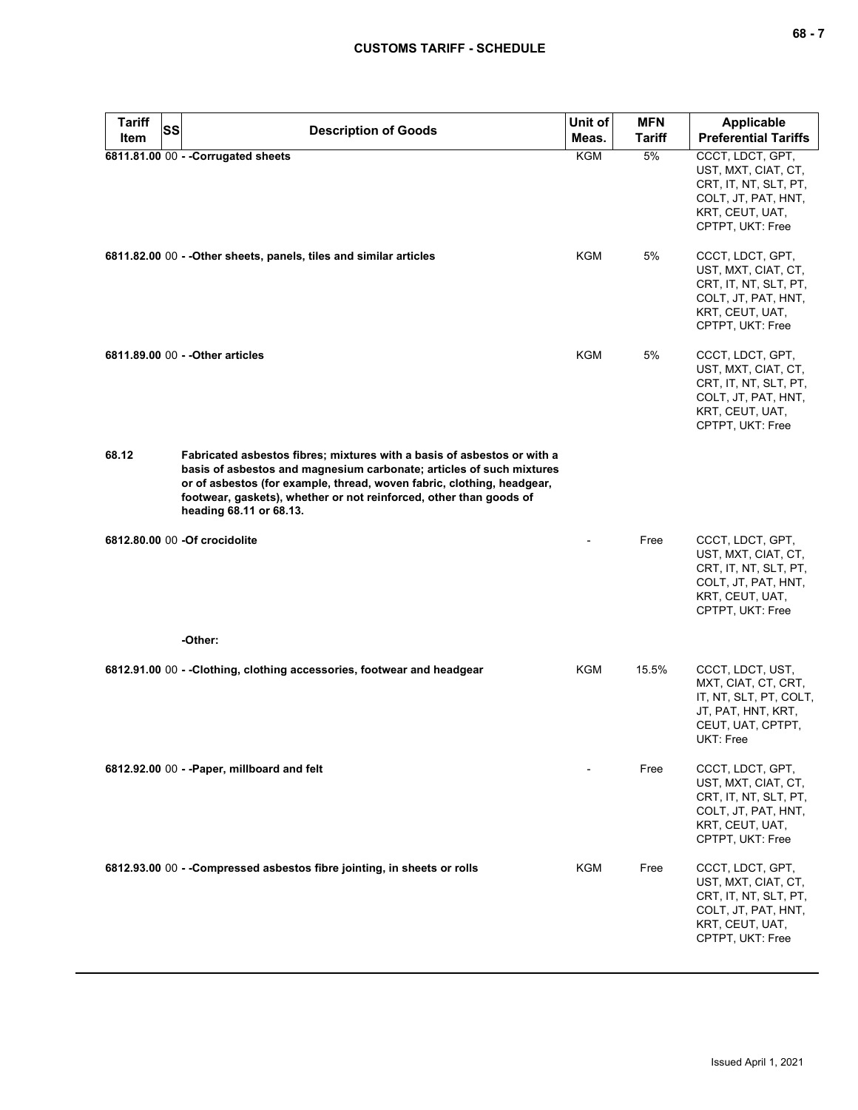| <b>Tariff</b> | <b>SS</b> | <b>Description of Goods</b>                                                                                                                                                                                                                                                                                                | Unit of      | <b>MFN</b>   | Applicable                                                                                                                                                    |
|---------------|-----------|----------------------------------------------------------------------------------------------------------------------------------------------------------------------------------------------------------------------------------------------------------------------------------------------------------------------------|--------------|--------------|---------------------------------------------------------------------------------------------------------------------------------------------------------------|
| Item          |           | 6811.81.00 00 - - Corrugated sheets                                                                                                                                                                                                                                                                                        | Meas.<br>KGM | Tariff<br>5% | <b>Preferential Tariffs</b><br>CCCT, LDCT, GPT,<br>UST, MXT, CIAT, CT,<br>CRT, IT, NT, SLT, PT,<br>COLT, JT, PAT, HNT,<br>KRT, CEUT, UAT,<br>CPTPT, UKT: Free |
|               |           | 6811.82.00 00 - - Other sheets, panels, tiles and similar articles                                                                                                                                                                                                                                                         | KGM          | 5%           | CCCT, LDCT, GPT,<br>UST, MXT, CIAT, CT,<br>CRT, IT, NT, SLT, PT,<br>COLT, JT, PAT, HNT,<br>KRT, CEUT, UAT,<br>CPTPT, UKT: Free                                |
|               |           | 6811.89.00 00 - - Other articles                                                                                                                                                                                                                                                                                           | KGM          | 5%           | CCCT, LDCT, GPT,<br>UST, MXT, CIAT, CT,<br>CRT, IT, NT, SLT, PT,<br>COLT, JT, PAT, HNT,<br>KRT, CEUT, UAT,<br>CPTPT, UKT: Free                                |
| 68.12         |           | Fabricated asbestos fibres; mixtures with a basis of asbestos or with a<br>basis of asbestos and magnesium carbonate; articles of such mixtures<br>or of asbestos (for example, thread, woven fabric, clothing, headgear,<br>footwear, gaskets), whether or not reinforced, other than goods of<br>heading 68.11 or 68.13. |              |              |                                                                                                                                                               |
|               |           | 6812.80.00 00 -Of crocidolite                                                                                                                                                                                                                                                                                              |              | Free         | CCCT, LDCT, GPT,<br>UST, MXT, CIAT, CT,<br>CRT, IT, NT, SLT, PT,<br>COLT, JT, PAT, HNT,<br>KRT, CEUT, UAT,<br>CPTPT, UKT: Free                                |
|               |           | -Other:                                                                                                                                                                                                                                                                                                                    |              |              |                                                                                                                                                               |
|               |           | 6812.91.00 00 - -Clothing, clothing accessories, footwear and headgear                                                                                                                                                                                                                                                     | KGM          | 15.5%        | CCCT, LDCT, UST,<br>MXT, CIAT, CT, CRT,<br>IT, NT, SLT, PT, COLT,<br>JT, PAT, HNT, KRT,<br>CEUT, UAT, CPTPT,<br>UKT: Free                                     |
|               |           | 6812.92.00 00 - - Paper, millboard and felt                                                                                                                                                                                                                                                                                |              | Free         | CCCT, LDCT, GPT,<br>UST, MXT, CIAT, CT,<br>CRT, IT, NT, SLT, PT,<br>COLT, JT, PAT, HNT,<br>KRT, CEUT, UAT,<br>CPTPT, UKT: Free                                |
|               |           | 6812.93.00 00 - -Compressed asbestos fibre jointing, in sheets or rolls                                                                                                                                                                                                                                                    | KGM          | Free         | CCCT, LDCT, GPT,<br>UST, MXT, CIAT, CT,<br>CRT, IT, NT, SLT, PT,<br>COLT, JT, PAT, HNT,<br>KRT, CEUT, UAT,<br>CPTPT, UKT: Free                                |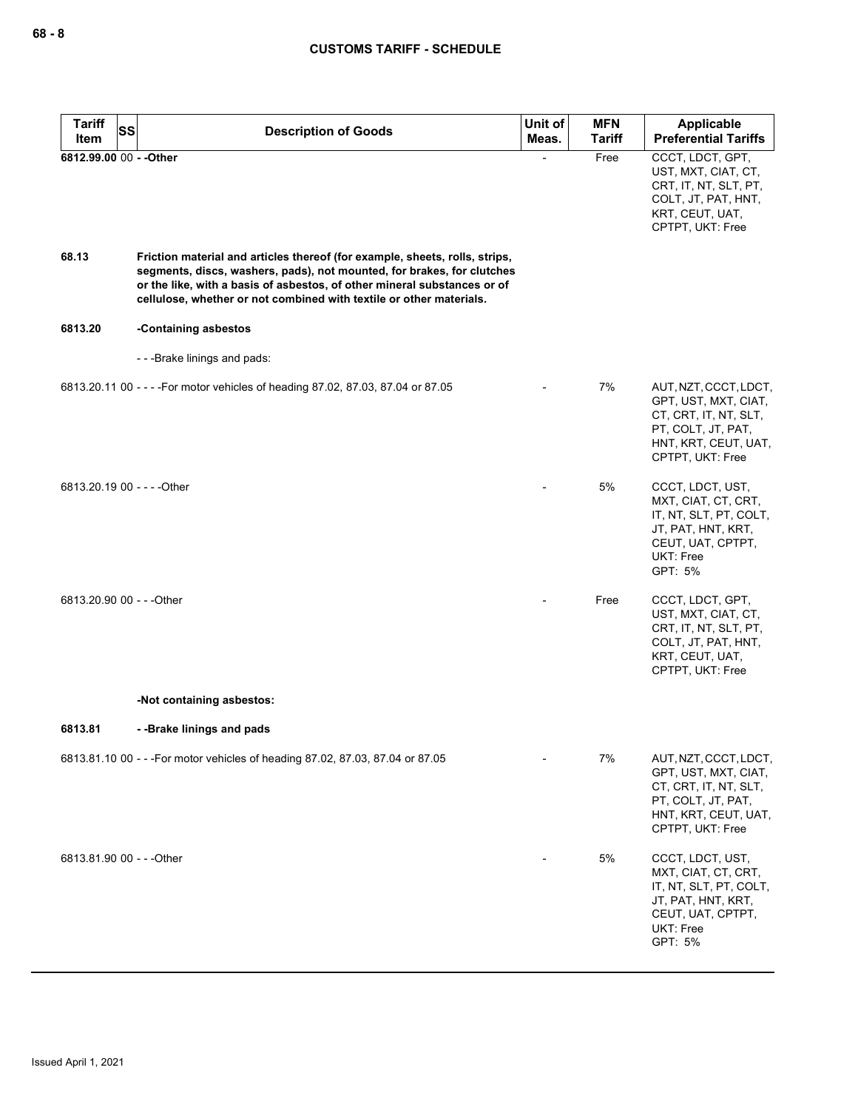| <b>Tariff</b><br>SS<br>Item | <b>Description of Goods</b>                                                                                                                                                                                                                                                                              | Unit of<br>Meas. | <b>MFN</b><br><b>Tariff</b> | Applicable<br><b>Preferential Tariffs</b>                                                                                                |
|-----------------------------|----------------------------------------------------------------------------------------------------------------------------------------------------------------------------------------------------------------------------------------------------------------------------------------------------------|------------------|-----------------------------|------------------------------------------------------------------------------------------------------------------------------------------|
| 6812.99.00 00 - - Other     |                                                                                                                                                                                                                                                                                                          |                  | Free                        | CCCT, LDCT, GPT,<br>UST, MXT, CIAT, CT,<br>CRT, IT, NT, SLT, PT,<br>COLT, JT, PAT, HNT,<br>KRT, CEUT, UAT,<br>CPTPT, UKT: Free           |
| 68.13                       | Friction material and articles thereof (for example, sheets, rolls, strips,<br>segments, discs, washers, pads), not mounted, for brakes, for clutches<br>or the like, with a basis of asbestos, of other mineral substances or of<br>cellulose, whether or not combined with textile or other materials. |                  |                             |                                                                                                                                          |
| 6813.20                     | -Containing asbestos                                                                                                                                                                                                                                                                                     |                  |                             |                                                                                                                                          |
|                             | ---Brake linings and pads:                                                                                                                                                                                                                                                                               |                  |                             |                                                                                                                                          |
|                             | 6813.20.11 00 - - - - For motor vehicles of heading 87.02, 87.03, 87.04 or 87.05                                                                                                                                                                                                                         |                  | 7%                          | AUT, NZT, CCCT, LDCT,<br>GPT, UST, MXT, CIAT,<br>CT, CRT, IT, NT, SLT,<br>PT, COLT, JT, PAT,<br>HNT, KRT, CEUT, UAT,<br>CPTPT, UKT: Free |
| 6813.20.19 00 - - - - Other |                                                                                                                                                                                                                                                                                                          |                  | 5%                          | CCCT, LDCT, UST,<br>MXT, CIAT, CT, CRT,<br>IT, NT, SLT, PT, COLT,<br>JT, PAT, HNT, KRT,<br>CEUT, UAT, CPTPT,<br>UKT: Free<br>GPT: 5%     |
| 6813.20.90 00 - - - Other   |                                                                                                                                                                                                                                                                                                          |                  | Free                        | CCCT, LDCT, GPT,<br>UST, MXT, CIAT, CT,<br>CRT, IT, NT, SLT, PT,<br>COLT, JT, PAT, HNT,<br>KRT, CEUT, UAT,<br>CPTPT, UKT: Free           |
|                             | -Not containing asbestos:                                                                                                                                                                                                                                                                                |                  |                             |                                                                                                                                          |
| 6813.81                     | --Brake linings and pads                                                                                                                                                                                                                                                                                 |                  |                             |                                                                                                                                          |
|                             | 6813.81.10 00 - - - For motor vehicles of heading 87.02, 87.03, 87.04 or 87.05                                                                                                                                                                                                                           |                  | 7%                          | AUT, NZT, CCCT, LDCT,<br>GPT, UST, MXT, CIAT,<br>CT, CRT, IT, NT, SLT,<br>PT, COLT, JT, PAT,<br>HNT, KRT, CEUT, UAT,<br>CPTPT, UKT: Free |
| 6813.81.90 00 - - - Other   |                                                                                                                                                                                                                                                                                                          |                  | 5%                          | CCCT, LDCT, UST,<br>MXT, CIAT, CT, CRT,<br>IT, NT, SLT, PT, COLT,<br>JT, PAT, HNT, KRT,<br>CEUT, UAT, CPTPT,<br>UKT: Free<br>GPT: 5%     |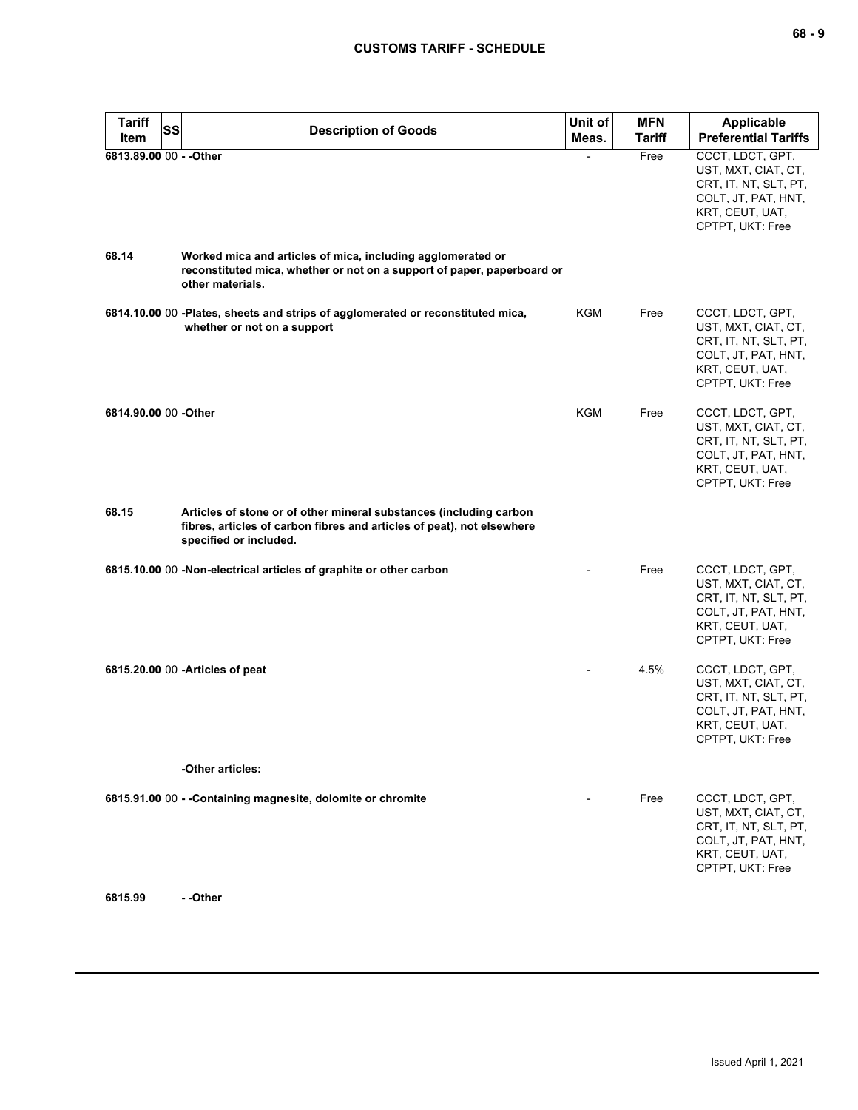| <b>Tariff</b><br><b>SS</b> | <b>Description of Goods</b>                                                                                                                                            | Unit of | <b>MFN</b>    | Applicable                                                                                                                     |
|----------------------------|------------------------------------------------------------------------------------------------------------------------------------------------------------------------|---------|---------------|--------------------------------------------------------------------------------------------------------------------------------|
| Item                       |                                                                                                                                                                        | Meas.   | <b>Tariff</b> | <b>Preferential Tariffs</b>                                                                                                    |
| 6813.89.00 00 - - Other    |                                                                                                                                                                        |         | Free          | CCCT, LDCT, GPT,<br>UST, MXT, CIAT, CT,<br>CRT, IT, NT, SLT, PT,<br>COLT, JT, PAT, HNT,<br>KRT, CEUT, UAT,<br>CPTPT, UKT: Free |
| 68.14                      | Worked mica and articles of mica, including agglomerated or<br>reconstituted mica, whether or not on a support of paper, paperboard or<br>other materials.             |         |               |                                                                                                                                |
|                            | 6814.10.00 00 -Plates, sheets and strips of agglomerated or reconstituted mica,<br>whether or not on a support                                                         | KGM     | Free          | CCCT, LDCT, GPT,<br>UST, MXT, CIAT, CT,<br>CRT, IT, NT, SLT, PT,<br>COLT, JT, PAT, HNT,<br>KRT, CEUT, UAT,<br>CPTPT, UKT: Free |
| 6814.90.00 00 -Other       |                                                                                                                                                                        | KGM     | Free          | CCCT, LDCT, GPT,<br>UST, MXT, CIAT, CT,<br>CRT, IT, NT, SLT, PT,<br>COLT, JT, PAT, HNT,<br>KRT, CEUT, UAT,<br>CPTPT, UKT: Free |
| 68.15                      | Articles of stone or of other mineral substances (including carbon<br>fibres, articles of carbon fibres and articles of peat), not elsewhere<br>specified or included. |         |               |                                                                                                                                |
|                            | 6815.10.00 00 -Non-electrical articles of graphite or other carbon                                                                                                     |         | Free          | CCCT, LDCT, GPT,<br>UST, MXT, CIAT, CT,<br>CRT, IT, NT, SLT, PT,<br>COLT, JT, PAT, HNT,<br>KRT, CEUT, UAT,<br>CPTPT, UKT: Free |
|                            | 6815.20.00 00 - Articles of peat                                                                                                                                       |         | 4.5%          | CCCT, LDCT, GPT,<br>UST, MXT, CIAT, CT,<br>CRT, IT, NT, SLT, PT,<br>COLT, JT, PAT, HNT,<br>KRT, CEUT, UAT,<br>CPTPT, UKT: Free |
|                            | -Other articles:                                                                                                                                                       |         |               |                                                                                                                                |
|                            | 6815.91.00 00 - - Containing magnesite, dolomite or chromite                                                                                                           |         | Free          | CCCT, LDCT, GPT,<br>UST, MXT, CIAT, CT,<br>CRT, IT, NT, SLT, PT,<br>COLT, JT, PAT, HNT,<br>KRT, CEUT, UAT,<br>CPTPT, UKT: Free |
| 6815.99                    | --Other                                                                                                                                                                |         |               |                                                                                                                                |